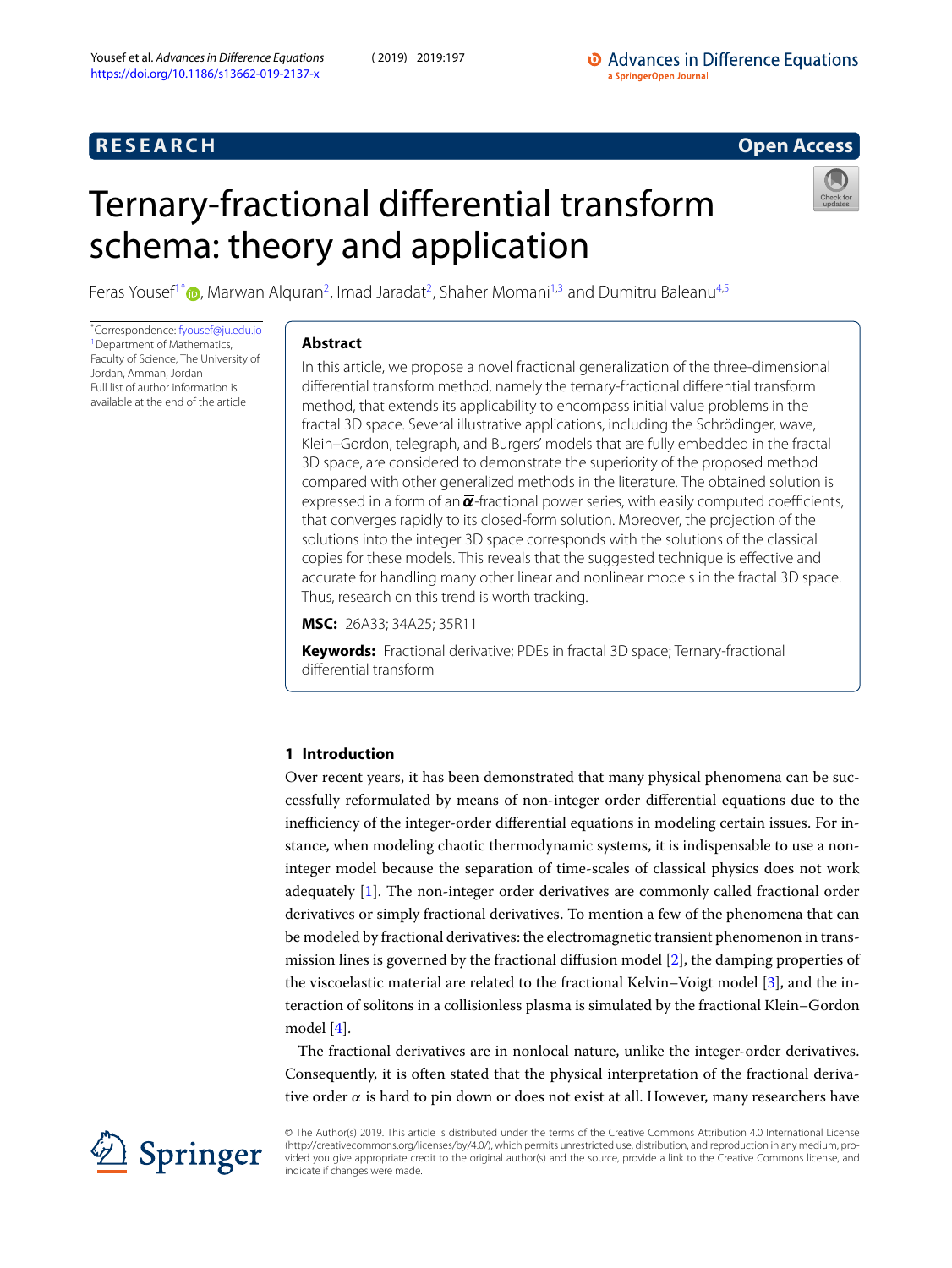## **R E S E A R C H Open Access**

# <span id="page-0-0"></span>Ternary-fractional differential transform schema: theory and application



Feras Yousef<sup>[1](#page-11-0)[\\*](#page-0-0)</sup> (D), Marwan Alquran<sup>[2](#page-11-1)</sup>, Imad Jaradat<sup>2</sup>, Shaher Momani<sup>[1,](#page-11-0)[3](#page-11-2)</sup> and Dumitru Baleanu<sup>[4,](#page-11-3)[5](#page-11-4)</sup>

\*Correspondence: [fyousef@ju.edu.jo](mailto:fyousef@ju.edu.jo) <sup>[1](#page-11-0)</sup> Department of Mathematics, Faculty of Science, The University of Jordan, Amman, Jordan Full list of author information is available at the end of the article

## **Abstract**

In this article, we propose a novel fractional generalization of the three-dimensional differential transform method, namely the ternary-fractional differential transform method, that extends its applicability to encompass initial value problems in the fractal 3D space. Several illustrative applications, including the Schrödinger, wave, Klein–Gordon, telegraph, and Burgers' models that are fully embedded in the fractal 3D space, are considered to demonstrate the superiority of the proposed method compared with other generalized methods in the literature. The obtained solution is expressed in a form of an  $\overline{\alpha}$ -fractional power series, with easily computed coefficients, that converges rapidly to its closed-form solution. Moreover, the projection of the solutions into the integer 3D space corresponds with the solutions of the classical copies for these models. This reveals that the suggested technique is effective and accurate for handling many other linear and nonlinear models in the fractal 3D space. Thus, research on this trend is worth tracking.

**MSC:** 26A33; 34A25; 35R11

**Keywords:** Fractional derivative; PDEs in fractal 3D space; Ternary-fractional differential transform

## **1 Introduction**

Over recent years, it has been demonstrated that many physical phenomena can be successfully reformulated by means of non-integer order differential equations due to the inefficiency of the integer-order differential equations in modeling certain issues. For instance, when modeling chaotic thermodynamic systems, it is indispensable to use a noninteger model because the separation of time-scales of classical physics does not work adequately [\[1](#page-11-5)]. The non-integer order derivatives are commonly called fractional order derivatives or simply fractional derivatives. To mention a few of the phenomena that can be modeled by fractional derivatives: the electromagnetic transient phenomenon in transmission lines is governed by the fractional diffusion model[[2\]](#page-11-6), the damping properties of the viscoelastic material are related to the fractional Kelvin–Voigt model [\[3](#page-11-7)], and the interaction of solitons in a collisionless plasma is simulated by the fractional Klein–Gordon model [\[4](#page-11-8)].

The fractional derivatives are in nonlocal nature, unlike the integer-order derivatives. Consequently, it is often stated that the physical interpretation of the fractional derivative order  $\alpha$  is hard to pin down or does not exist at all. However, many researchers have



© The Author(s) 2019. This article is distributed under the terms of the Creative Commons Attribution 4.0 International License (http://creativecommons.org/licenses/by/4.0/), which permits unrestricted use, distribution, and reproduction in any medium, provided you give appropriate credit to the original author(s) and the source, provide a link to the Creative Commons license, and indicate if changes were made.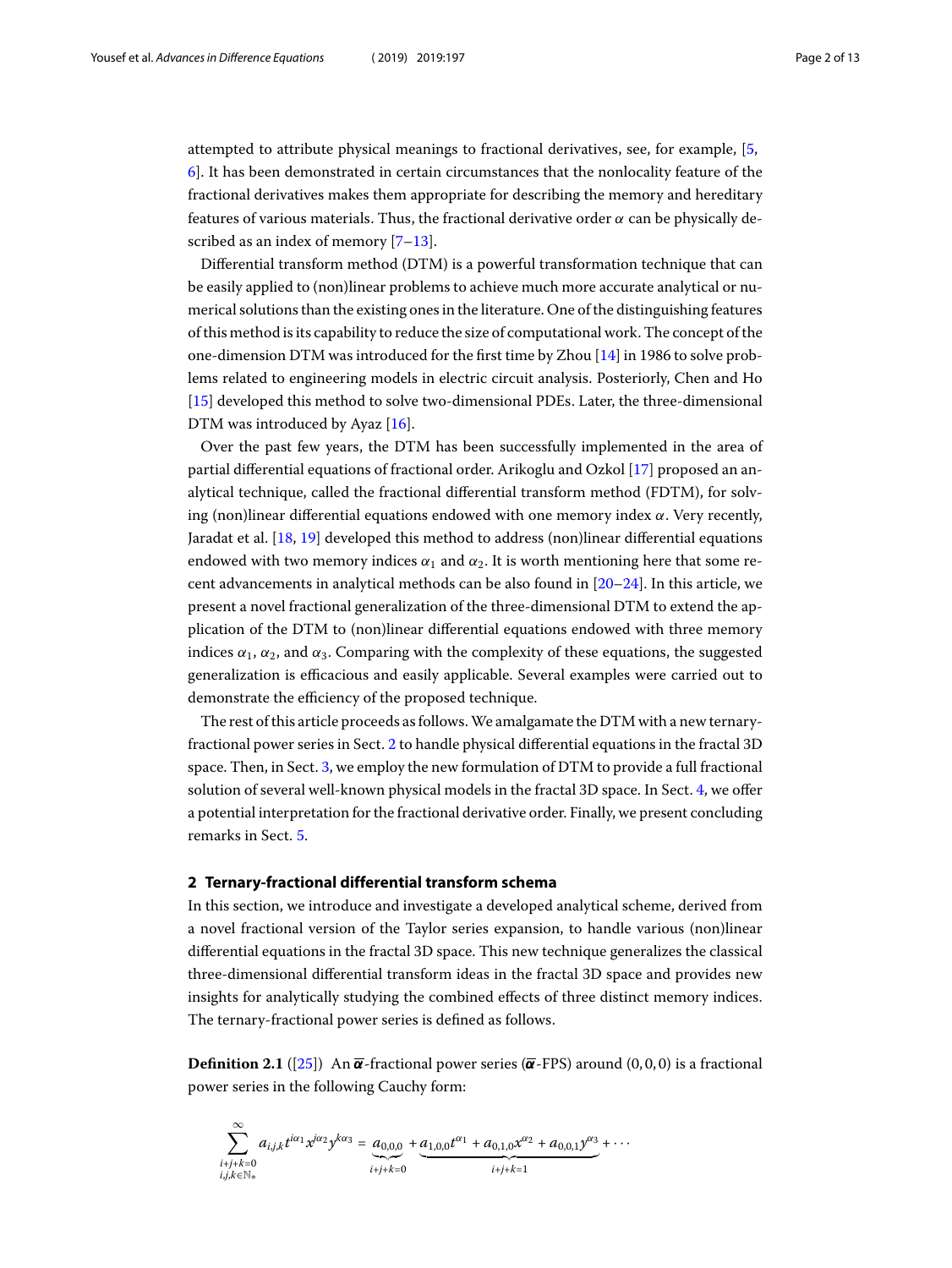attempted to attribute physical meanings to fractional derivatives, see, for example, [\[5](#page-11-9), [6](#page-11-10)]. It has been demonstrated in certain circumstances that the nonlocality feature of the fractional derivatives makes them appropriate for describing the memory and hereditary features of various materials. Thus, the fractional derivative order  $\alpha$  can be physically de-scribedas an index of memory [[7–](#page-11-11)[13](#page-11-12)].

Differential transform method (DTM) is a powerful transformation technique that can be easily applied to (non)linear problems to achieve much more accurate analytical or numerical solutions than the existing ones in the literature. One of the distinguishing features of this method is its capability to reduce the size of computational work. The concept of the one-dimension DTM was introduced for the first time by Zhou [\[14](#page-11-13)] in 1986 to solve problems related to engineering models in electric circuit analysis. Posteriorly, Chen and Ho [[15\]](#page-11-14) developed this method to solve two-dimensional PDEs. Later, the three-dimensional DTMwas introduced by Ayaz [[16](#page-11-15)].

Over the past few years, the DTM has been successfully implemented in the area of partial differential equations of fractional order. Arikoglu and Ozkol [\[17](#page-12-0)] proposed an analytical technique, called the fractional differential transform method (FDTM), for solving (non)linear differential equations endowed with one memory index  $\alpha$ . Very recently, Jaradat et al. [\[18](#page-12-1), [19\]](#page-12-2) developed this method to address (non)linear differential equations endowed with two memory indices  $\alpha_1$  and  $\alpha_2$ . It is worth mentioning here that some recent advancements in analytical methods can be also found in [\[20–](#page-12-3)[24\]](#page-12-4). In this article, we present a novel fractional generalization of the three-dimensional DTM to extend the application of the DTM to (non)linear differential equations endowed with three memory indices  $\alpha_1$ ,  $\alpha_2$ , and  $\alpha_3$ . Comparing with the complexity of these equations, the suggested generalization is efficacious and easily applicable. Several examples were carried out to demonstrate the efficiency of the proposed technique.

<span id="page-1-0"></span>The rest of this article proceeds as follows.We amalgamate the DTM with a new ternaryfractional power series in Sect. [2](#page-1-0) to handle physical differential equations in the fractal 3D space. Then, in Sect. [3](#page-3-0), we employ the new formulation of DTM to provide a full fractional solution of several well-known physical models in the fractal 3D space. In Sect. [4,](#page-9-0) we offer a potential interpretation for the fractional derivative order. Finally, we present concluding remarks in Sect. [5.](#page-10-0)

### **2 Ternary-fractional differential transform schema**

In this section, we introduce and investigate a developed analytical scheme, derived from a novel fractional version of the Taylor series expansion, to handle various (non)linear differential equations in the fractal 3D space. This new technique generalizes the classical three-dimensional differential transform ideas in the fractal 3D space and provides new insights for analytically studying the combined effects of three distinct memory indices. The ternary-fractional power series is defined as follows.

**Definition 2.1** ([\[25\]](#page-12-5)) An  $\bar{\alpha}$ -fractional power series ( $\bar{\alpha}$ -FPS) around (0,0,0) is a fractional power series in the following Cauchy form:

$$
\sum_{\substack{i+j+k=0\\i,j,k\in\mathbb{N}_*}}^{\infty}a_{i,j,k}t^{i\alpha_1}x^{j\alpha_2}y^{k\alpha_3}=\underbrace{a_{0,0,0}}_{i+j+k=0}+\underbrace{a_{1,0,0}t^{\alpha_1}+a_{0,1,0}x^{\alpha_2}+a_{0,0,1}y^{\alpha_3}}_{i+j+k=1}+\cdots
$$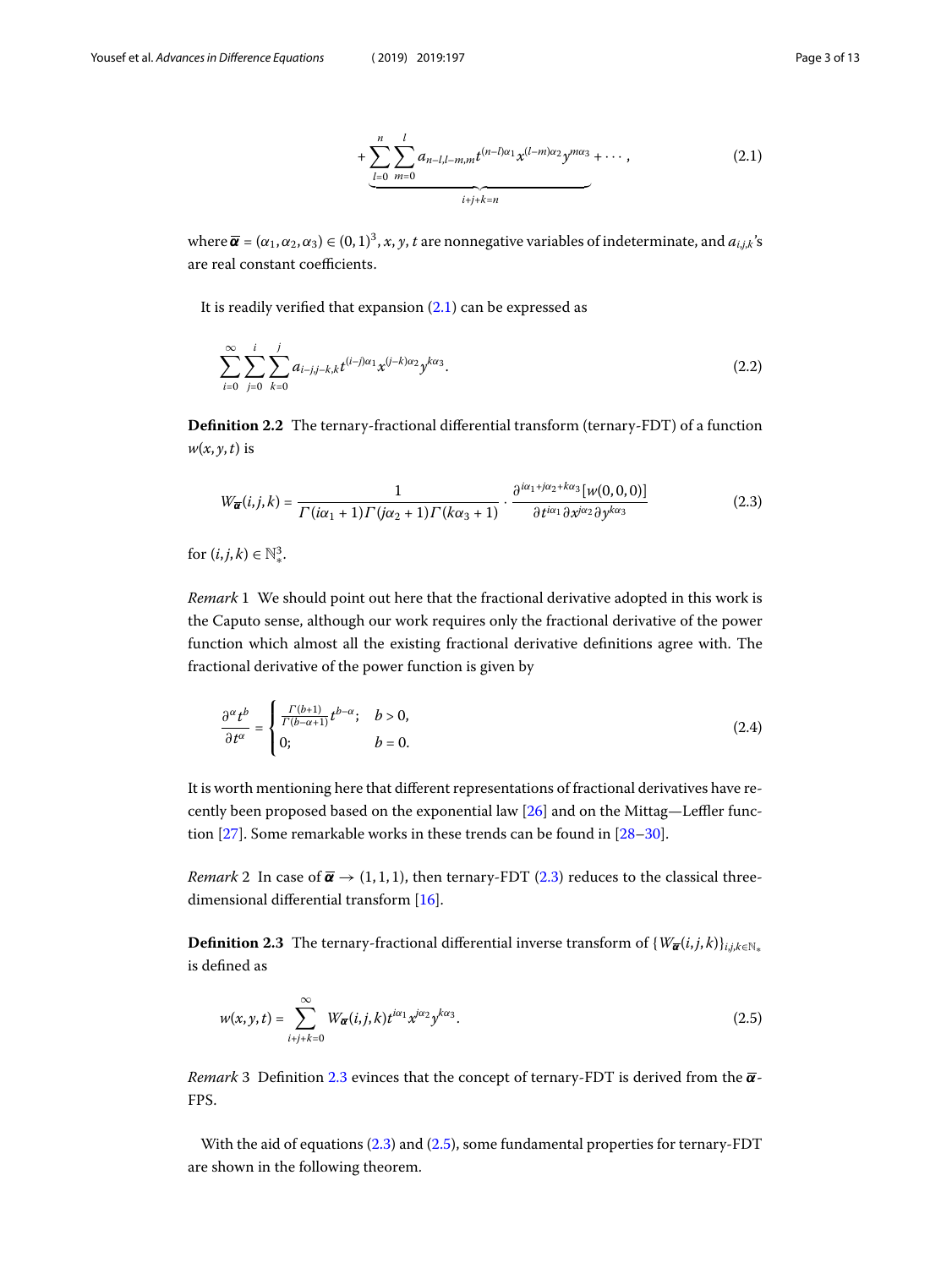<span id="page-2-1"></span><span id="page-2-0"></span>
$$
+\underbrace{\sum_{l=0}^{n}\sum_{m=0}^{l}a_{n-l,l-m,m}t^{(n-l)\alpha_{1}}x^{(l-m)\alpha_{2}}y^{m\alpha_{3}}+\cdots,}_{i+j+k=n}
$$
(2.1)

where  $\overline{\pmb{\alpha}}=(\alpha_1,\alpha_2,\alpha_3)\in (0,1)^3$  ,  $x,y,t$  are nonnegative variables of indeterminate, and  $a_{i,j,k}$ 's are real constant coefficients.

<span id="page-2-4"></span>It is readily verified that expansion([2.1\)](#page-2-0) can be expressed as

$$
\sum_{i=0}^{\infty} \sum_{j=0}^{i} \sum_{k=0}^{j} a_{i-j,j-k,k} t^{(i-j)\alpha_1} x^{(j-k)\alpha_2} y^{k\alpha_3}.
$$
 (2.2)

**Definition 2.2** The ternary-fractional differential transform (ternary-FDT) of a function  $w(x, y, t)$  is

$$
W_{\overline{\alpha}}(i,j,k) = \frac{1}{\Gamma(i\alpha_1 + 1)\Gamma(j\alpha_2 + 1)\Gamma(k\alpha_3 + 1)} \cdot \frac{\partial^{i\alpha_1 + j\alpha_2 + k\alpha_3} [w(0,0,0)]}{\partial t^{i\alpha_1} \partial x^{j\alpha_2} \partial y^{k\alpha_3}}
$$
(2.3)

for  $(i,j,k) \in \mathbb{N}^3_*$ .

Remark 1 We should point out here that the fractional derivative adopted in this work is the Caputo sense, although our work requires only the fractional derivative of the power function which almost all the existing fractional derivative definitions agree with. The fractional derivative of the power function is given by

$$
\frac{\partial^{\alpha} t^{b}}{\partial t^{\alpha}} = \begin{cases} \frac{\Gamma(b+1)}{\Gamma(b-\alpha+1)} t^{b-\alpha}; & b > 0, \\ 0; & b = 0. \end{cases}
$$
 (2.4)

<span id="page-2-2"></span>It is worth mentioning here that different representations of fractional derivatives have recently been proposed based on the exponential law[[26\]](#page-12-6) and on the Mittag—Leffler function [\[27](#page-12-7)]. Some remarkable works in these trends can be found in[[28–](#page-12-8)[30](#page-12-9)].

*Remark*2 In case of  $\overline{\alpha} \rightarrow (1, 1, 1)$ , then ternary-FDT ([2.3\)](#page-2-1) reduces to the classical threedimensional differential transform[[16](#page-11-15)].

**Definition 2.3** The ternary-fractional differential inverse transform of  $\{W_{\overline{\alpha}}(i,j,k)\}_{i,j,k\in\mathbb{N}_*}$ is defined as

<span id="page-2-3"></span>
$$
w(x, y, t) = \sum_{i+j+k=0}^{\infty} W_{\overline{\alpha}}(i, j, k) t^{i\alpha_1} x^{i\alpha_2} y^{k\alpha_3}.
$$
 (2.5)

Remark 3 Definition [2.3](#page-2-2) evinces that the concept of ternary-FDT is derived from the  $\overline{\alpha}$ -FPS.

With the aid of equations([2.3\)](#page-2-1) and [\(2.5](#page-2-3)), some fundamental properties for ternary-FDT are shown in the following theorem.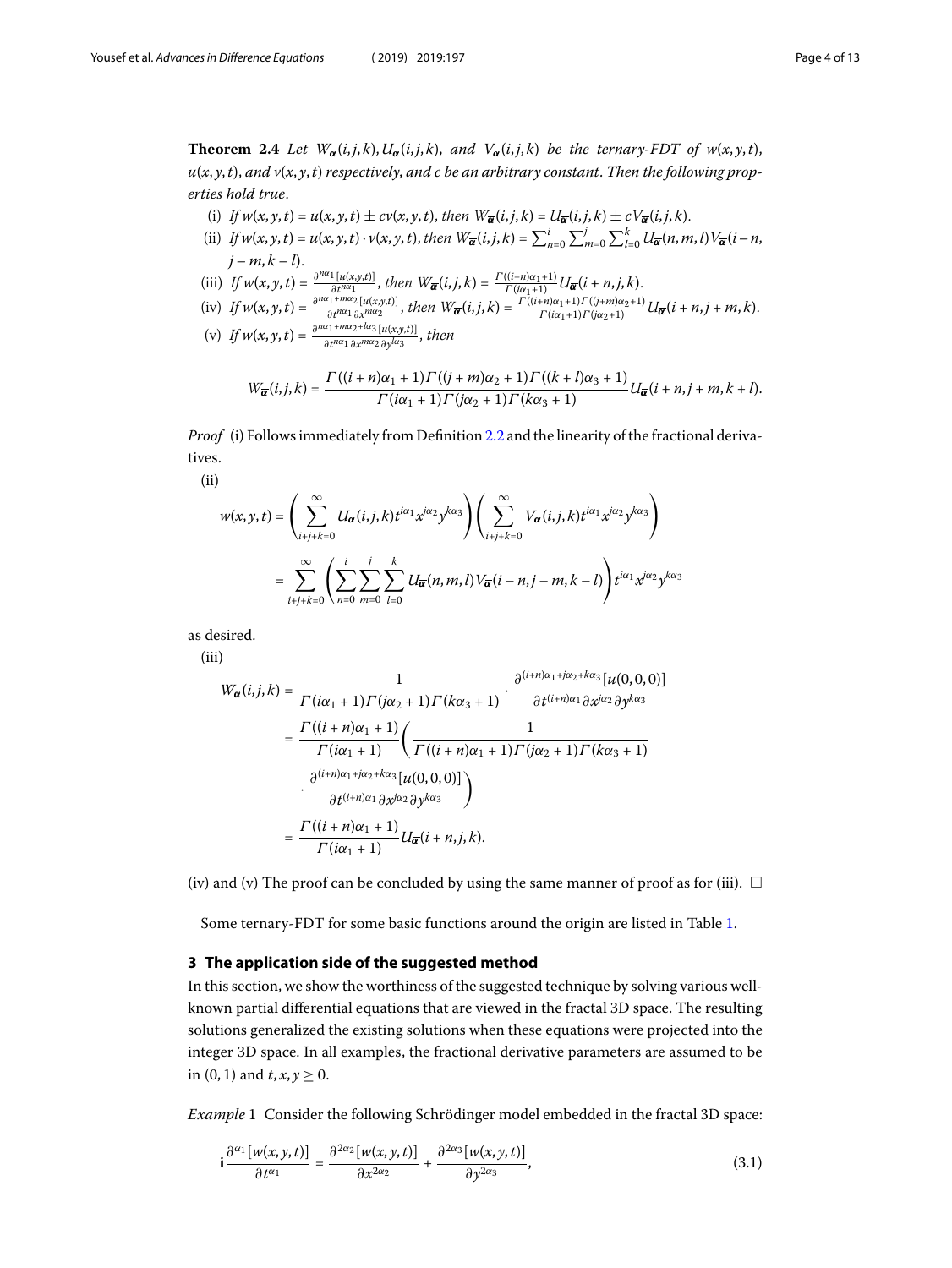<span id="page-3-1"></span>**Theorem 2.4** Let  $W_{\overline{\alpha}}(i,j,k)$ ,  $U_{\overline{\alpha}}(i,j,k)$ , and  $V_{\overline{\alpha}}(i,j,k)$  be the ternary-FDT of  $w(x, y, t)$ ,  $u(x, y, t)$ , and  $v(x, y, t)$  respectively, and c be an arbitrary constant. Then the following properties hold true.

- (i) If  $w(x, y, t) = u(x, y, t) \pm cv(x, y, t)$ , then  $W_{\overline{\alpha}}(i, j, k) = U_{\overline{\alpha}}(i, j, k) \pm cV_{\overline{\alpha}}(i, j, k)$ .
- (ii) If  $w(x, y, t) = u(x, y, t) \cdot v(x, y, t)$ , then  $W_{\overline{\alpha}}(i, j, k) = \sum_{n=0}^{i} \sum_{m=0}^{j} \sum_{l=0}^{k} U_{\overline{\alpha}}(n, m, l) V_{\overline{\alpha}}(i n, l)$  $j - m, k - l$ .
- (iii) If  $w(x, y, t) = \frac{\partial^{n\alpha_1} [u(x, y, t)]}{\partial t^{n\alpha_1}}$  $\frac{d\ln[u(x,y,t)]}{dt^{n\alpha_1}}$ , then  $W_{\overline{\alpha}}(i,j,k) = \frac{\Gamma((i+n)\alpha_1+1)}{\Gamma(i\alpha_1+1)}U_{\overline{\alpha}}(i+n,j,k)$ .
- (iv) If  $w(x, y, t) = \frac{\partial^{n\alpha_1 + m\alpha_2} [u(x, y, t)]}{\partial t^{n\alpha_1} \partial x^{m\alpha_2}}$  $\frac{N_1+m\alpha_2[u(x,y,t)]}{\partial t^{n\alpha_1}\partial x^{m\alpha_2}}$ , then  $W_{\overline{\alpha}}(i,j,k)=\frac{\Gamma((i+n)\alpha_1+1)\Gamma((j+m)\alpha_2+1)}{\Gamma(i\alpha_1+1)\Gamma(j\alpha_2+1)}U_{\overline{\alpha}}(i+n,j+m,k)$ .

(v) If 
$$
w(x, y, t) = \frac{\partial^{n\alpha_1 + m\alpha_2 + l\alpha_3} [u(x, y, t)]}{\partial t^{n\alpha_1} \partial x^{m\alpha_2} \partial y^{l\alpha_3}}
$$
, then

$$
W_{\overline{\alpha}}(i,j,k)=\frac{\Gamma((i+n)\alpha_1+1)\Gamma((j+m)\alpha_2+1)\Gamma((k+l)\alpha_3+1)}{\Gamma(i\alpha_1+1)\Gamma(i\alpha_2+1)\Gamma(k\alpha_3+1)}U_{\overline{\alpha}}(i+n,j+m,k+l).
$$

Proof (i) Follows immediately from Definition [2.2](#page-2-4) and the linearity of the fractional derivatives.

(ii)

$$
w(x, y, t) = \left(\sum_{i+j+k=0}^{\infty} U_{\overline{\alpha}}(i, j, k) t^{i\alpha_1} x^{j\alpha_2} y^{k\alpha_3}\right) \left(\sum_{i+j+k=0}^{\infty} V_{\overline{\alpha}}(i, j, k) t^{i\alpha_1} x^{j\alpha_2} y^{k\alpha_3}\right)
$$
  
= 
$$
\sum_{i+j+k=0}^{\infty} \left(\sum_{n=0}^{i} \sum_{m=0}^{j} \sum_{l=0}^{k} U_{\overline{\alpha}}(n, m, l) V_{\overline{\alpha}}(i - n, j - m, k - l)\right) t^{i\alpha_1} x^{j\alpha_2} y^{k\alpha_3}
$$

as desired.

(iii)

$$
W_{\overline{\alpha}}(i,j,k) = \frac{1}{\Gamma(i\alpha_1+1)\Gamma(j\alpha_2+1)\Gamma(k\alpha_3+1)} \cdot \frac{\partial^{(i+n)\alpha_1+j\alpha_2+k\alpha_3}[u(0,0,0)]}{\partial t^{(i+n)\alpha_1}\partial x^{j\alpha_2}\partial y^{k\alpha_3}}
$$
  

$$
= \frac{\Gamma((i+n)\alpha_1+1)}{\Gamma(i\alpha_1+1)} \left(\frac{1}{\Gamma((i+n)\alpha_1+1)\Gamma(j\alpha_2+1)\Gamma(k\alpha_3+1)} - \frac{\partial^{(i+n)\alpha_1+j\alpha_2+k\alpha_3}[u(0,0,0)]}{\partial t^{(i+n)\alpha_1}\partial x^{j\alpha_2}\partial y^{k\alpha_3}}\right)
$$
  

$$
= \frac{\Gamma((i+n)\alpha_1+1)}{\Gamma(i\alpha_1+1)}U_{\overline{\alpha}}(i+n,j,k).
$$

<span id="page-3-0"></span>(iv) and (v) The proof can be concluded by using the same manner of proof as for (iii).  $\Box$ 

Some ternary-FDT for some basic functions around the origin are listed in Table [1](#page-4-0).

## **3 The application side of the suggested method**

In this section, we show the worthiness of the suggested technique by solving various wellknown partial differential equations that are viewed in the fractal 3D space. The resulting solutions generalized the existing solutions when these equations were projected into the integer 3D space. In all examples, the fractional derivative parameters are assumed to be in (0, 1) and  $t, x, y \ge 0$ .

Example 1 Consider the following Schrödinger model embedded in the fractal 3D space:

<span id="page-3-2"></span>
$$
\mathbf{i}\frac{\partial^{\alpha_1}[w(x,y,t)]}{\partial t^{\alpha_1}} = \frac{\partial^{2\alpha_2}[w(x,y,t)]}{\partial x^{2\alpha_2}} + \frac{\partial^{2\alpha_3}[w(x,y,t)]}{\partial y^{2\alpha_3}},\tag{3.1}
$$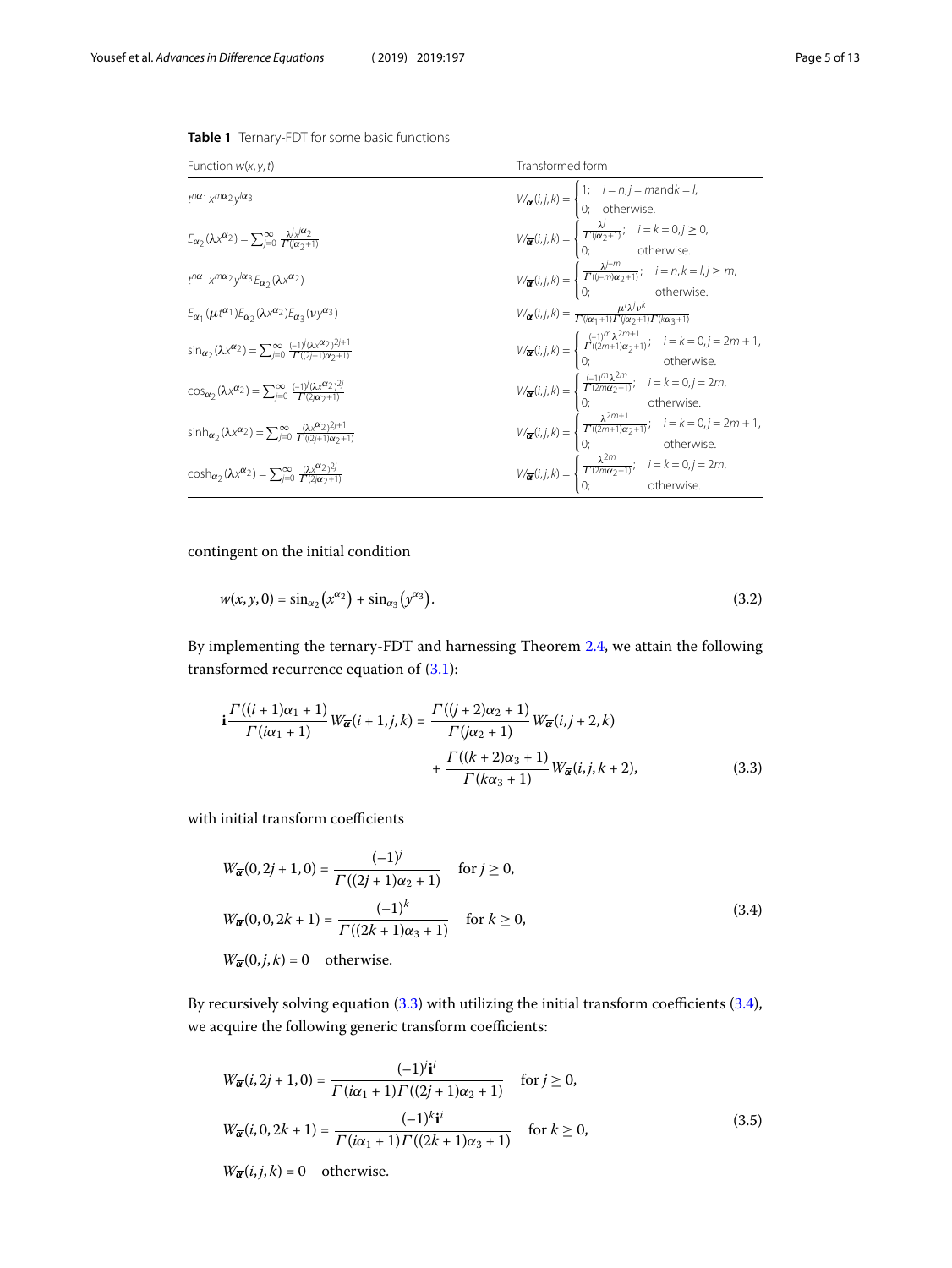| Function $w(x, y, t)$                                                                                                               | Transformed form                                                                                                                                                                                                                                                                                                                                                                                                                                       |
|-------------------------------------------------------------------------------------------------------------------------------------|--------------------------------------------------------------------------------------------------------------------------------------------------------------------------------------------------------------------------------------------------------------------------------------------------------------------------------------------------------------------------------------------------------------------------------------------------------|
| $t^{n\alpha_1}x^{m\alpha_2}v^{l\alpha_3}$                                                                                           |                                                                                                                                                                                                                                                                                                                                                                                                                                                        |
| $E_{\alpha}(\lambda x^{\alpha_2}) = \sum_{i=0}^{\infty} \frac{\lambda^{i}x^{\alpha_2}}{\Gamma(i\alpha_2+1)}$                        | $W_{\overline{\alpha}}(i,j,k) = \begin{cases} 1; & i = n, j = m \text{ and } k = l, \\ 0; & \text{otherwise.} \end{cases}$<br>$W_{\overline{\alpha}}(i,j,k) = \begin{cases} \frac{\lambda}{\Gamma(\alpha_2+1)}; & i = k = 0, j \ge 0, \\ 0; & \text{otherwise.} \end{cases}$                                                                                                                                                                           |
| $t^{n\alpha_1}x^{m\alpha_2}y^{l\alpha_3}E_{\alpha_2}(\lambda x^{\alpha_2})$                                                         | $W_{\overline{\alpha}}(i,j,k)=\begin{cases} \frac{\lambda^{j-m}}{\Gamma(j-m)\alpha_2+1)}; & i=n,k=l,j\geq m,\\ 0; & \text{otherwise}. \end{cases}$                                                                                                                                                                                                                                                                                                     |
| $E_{\alpha_1}(\mu t^{\alpha_1})E_{\alpha_2}(\lambda x^{\alpha_2})E_{\alpha_3}(\nu y^{\alpha_3})$                                    | $W_{\overline{\alpha}}(i,j,k)=\frac{\mu^i\lambda^j\nu^k}{\Gamma(i\alpha_1+1)\Gamma(i\alpha_2+1)\Gamma(k\alpha_2+1)}$                                                                                                                                                                                                                                                                                                                                   |
| $\sin_{\alpha_2}(\lambda x^{\alpha_2}) = \sum_{i=0}^{\infty} \frac{(-1)^i (\lambda x^{\alpha_2})^{2j+1}}{\Gamma((2i+1)\alpha_2+1)}$ | $W_{\overline{\alpha}}(i,j,k) = \begin{cases} \frac{(-1)^{i/1} \lambda^{2i/1+1}}{\Gamma((2m+1)\alpha_2+1)}; & i = k = 0, j = 2m+1, \\ 0; & \text{otherwise.} \end{cases}$                                                                                                                                                                                                                                                                              |
| $\cos_{\alpha_2}(\lambda x^{\alpha_2}) = \sum_{j=0}^{\infty} \frac{(-1)^j (\lambda x^{\alpha_2})^{2j}}{\Gamma^{(2j_{\alpha_2}+1)}}$ |                                                                                                                                                                                                                                                                                                                                                                                                                                                        |
| $sinh_{\alpha_2}(\lambda x^{\alpha_2}) = \sum_{i=0}^{\infty} \frac{(\lambda x^{\alpha_2})^{2i+1}}{\Gamma^{(i)}(2i+1)\sqrt{2i+1}}$   | $W_{\overline{\alpha}}(i,j,k) = \begin{cases} (-1)^m \lambda^{2m} & i = k = 0, j = 2m, \\ 0; & \text{otherwise.} \end{cases}$<br>$W_{\overline{\alpha}}(i,j,k) = \begin{cases} \frac{\lambda^{2m+1}}{\Gamma((2m+1)\alpha_2+1)}; & i = k = 0, j = 2m+1, \\ 0; & \text{otherwise.} \end{cases}$<br>$W_{\overline{\alpha}}(i,j,k) = \begin{cases} \frac{\lambda^{2m}}{\Gamma((2m\alpha_2+1)}; & i = k = 0, j = 2m, \\ 0; & \text{otherwise.} \end{cases}$ |
| $\cosh_{\alpha_2}(\lambda x^{\alpha_2}) = \sum_{j=0}^{\infty} \frac{(\lambda x^{\alpha_2})^{2j}}{\Gamma(2i\alpha_2+1)}$             |                                                                                                                                                                                                                                                                                                                                                                                                                                                        |

<span id="page-4-0"></span>**Table 1** Ternary-FDT for some basic functions

contingent on the initial condition

<span id="page-4-3"></span><span id="page-4-1"></span>
$$
w(x, y, 0) = \sin_{\alpha_2} (x^{\alpha_2}) + \sin_{\alpha_3} (y^{\alpha_3}).
$$
\n(3.2)

By implementing the ternary-FDT and harnessing Theorem [2.4](#page-3-1), we attain the following transformed recurrence equation of [\(3.1](#page-3-2)):

<span id="page-4-2"></span>
$$
\mathbf{i}\frac{\Gamma((i+1)\alpha_1+1)}{\Gamma(i\alpha_1+1)}W_{\overline{\alpha}}(i+1,j,k) = \frac{\Gamma((j+2)\alpha_2+1)}{\Gamma(j\alpha_2+1)}W_{\overline{\alpha}}(i,j+2,k) + \frac{\Gamma((k+2)\alpha_3+1)}{\Gamma(k\alpha_3+1)}W_{\overline{\alpha}}(i,j,k+2),
$$
\n(3.3)

with initial transform coefficients

$$
W_{\overline{\alpha}}(0, 2j + 1, 0) = \frac{(-1)^j}{\Gamma((2j + 1)\alpha_2 + 1)} \quad \text{for } j \ge 0,
$$
  

$$
W_{\overline{\alpha}}(0, 0, 2k + 1) = \frac{(-1)^k}{\Gamma((2k + 1)\alpha_3 + 1)} \quad \text{for } k \ge 0,
$$
  

$$
W_{\overline{\alpha}}(0, j, k) = 0 \quad \text{otherwise.}
$$
 (3.4)

By recursively solving equation([3.3\)](#page-4-1) with utilizing the initial transform coefficients([3.4\)](#page-4-2), we acquire the following generic transform coefficients:

$$
W_{\overline{\alpha}}(i, 2j + 1, 0) = \frac{(-1)^{i}i^{i}}{\Gamma(i\alpha_{1} + 1)\Gamma((2j + 1)\alpha_{2} + 1)} \quad \text{for } j \ge 0,
$$
  

$$
W_{\overline{\alpha}}(i, 0, 2k + 1) = \frac{(-1)^{k}i^{i}}{\Gamma(i\alpha_{1} + 1)\Gamma((2k + 1)\alpha_{3} + 1)} \quad \text{for } k \ge 0,
$$
 (3.5)

 $W_{\overline{\alpha}}(i, j, k) = 0$  otherwise.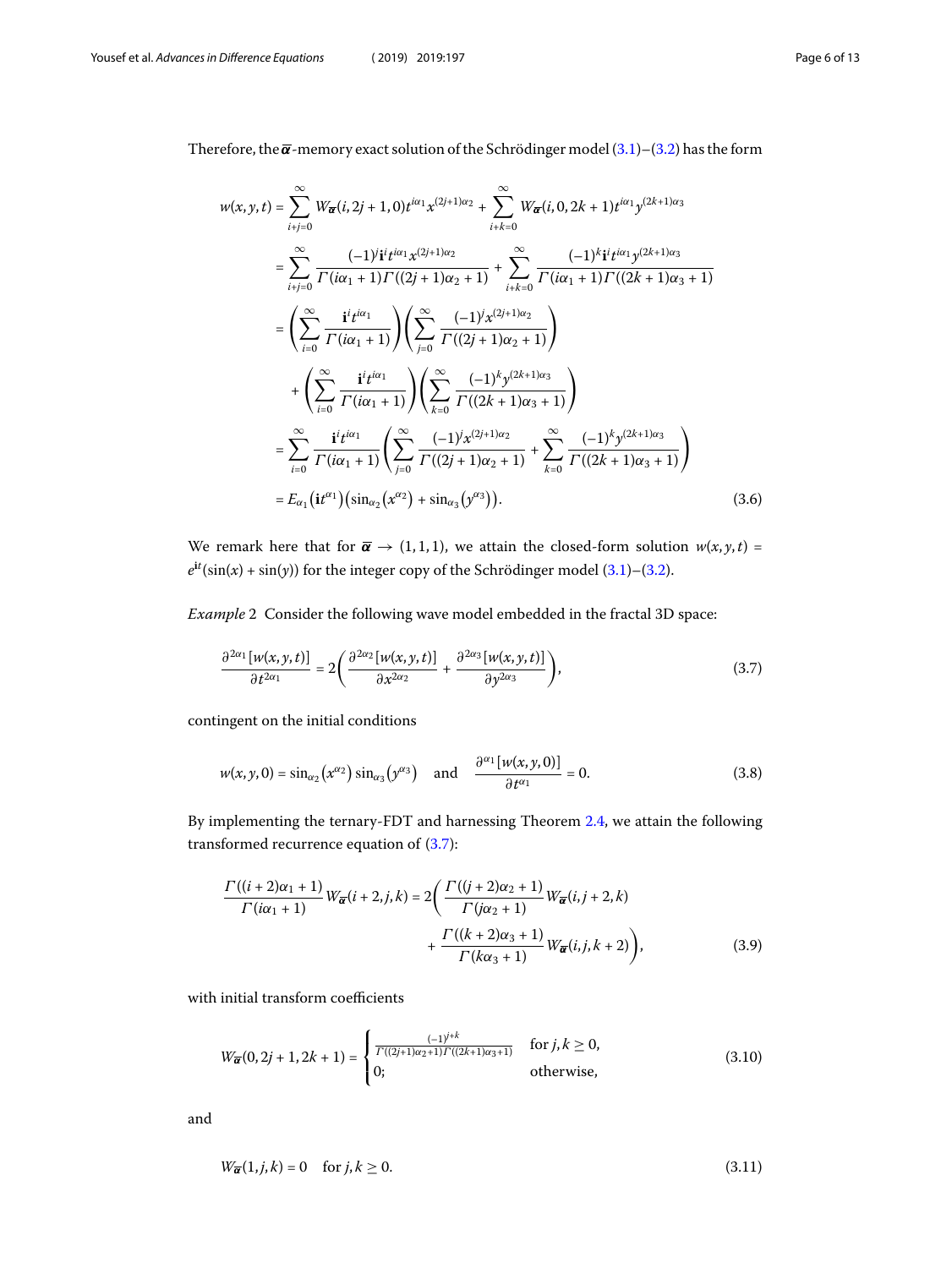Therefore, the  $\overline{\alpha}$ -memory exact solution of the Schrödinger model [\(3.1](#page-3-2))–([3.2\)](#page-4-3) has the form

$$
w(x, y, t) = \sum_{i+j=0}^{\infty} W_{\overline{\alpha}}(i, 2j+1, 0) t^{i\alpha_1} x^{(2j+1)\alpha_2} + \sum_{i+k=0}^{\infty} W_{\overline{\alpha}}(i, 0, 2k+1) t^{i\alpha_1} y^{(2k+1)\alpha_3}
$$
  
\n
$$
= \sum_{i+j=0}^{\infty} \frac{(-1)^{i} i^{i} t^{i\alpha_1} x^{(2j+1)\alpha_2}}{\Gamma(i\alpha_1 + 1)\Gamma((2j+1)\alpha_2 + 1)} + \sum_{i+k=0}^{\infty} \frac{(-1)^{k} i^{i} t^{i\alpha_1} y^{(2k+1)\alpha_3}}{\Gamma(i\alpha_1 + 1)\Gamma((2k+1)\alpha_3 + 1)}
$$
  
\n
$$
= \left(\sum_{i=0}^{\infty} \frac{i^{i} t^{i\alpha_1}}{\Gamma(i\alpha_1 + 1)}\right) \left(\sum_{j=0}^{\infty} \frac{(-1)^{j} x^{(2j+1)\alpha_2}}{\Gamma((2j+1)\alpha_2 + 1)}\right)
$$
  
\n
$$
+ \left(\sum_{i=0}^{\infty} \frac{i^{i} t^{i\alpha_1}}{\Gamma(i\alpha_1 + 1)}\right) \left(\sum_{k=0}^{\infty} \frac{(-1)^{k} y^{(2k+1)\alpha_3}}{\Gamma((2k+1)\alpha_3 + 1)}\right)
$$
  
\n
$$
= \sum_{i=0}^{\infty} \frac{i^{i} t^{i\alpha_1}}{\Gamma(i\alpha_1 + 1)} \left(\sum_{j=0}^{\infty} \frac{(-1)^{j} x^{(2j+1)\alpha_2}}{\Gamma((2j+1)\alpha_2 + 1)} + \sum_{k=0}^{\infty} \frac{(-1)^{k} y^{(2k+1)\alpha_3}}{\Gamma((2k+1)\alpha_3 + 1)}\right)
$$
  
\n
$$
= E_{\alpha_1} (it^{\alpha_1}) \left(\sin_{\alpha_2} (x^{\alpha_2}) + \sin_{\alpha_3} (y^{\alpha_3})\right).
$$
 (3.6)

We remark here that for  $\overline{\alpha} \rightarrow (1,1,1)$ , we attain the closed-form solution  $w(x, y, t) =$  $e^{it}(\sin(x) + \sin(y))$  for the integer copy of the Schrödinger model  $(3.1)$ – $(3.2)$  $(3.2)$ .

Example 2 Consider the following wave model embedded in the fractal 3D space:

<span id="page-5-4"></span><span id="page-5-0"></span>
$$
\frac{\partial^{2\alpha_1}[w(x,y,t)]}{\partial t^{2\alpha_1}} = 2\left(\frac{\partial^{2\alpha_2}[w(x,y,t)]}{\partial x^{2\alpha_2}} + \frac{\partial^{2\alpha_3}[w(x,y,t)]}{\partial y^{2\alpha_3}}\right),\tag{3.7}
$$

contingent on the initial conditions

<span id="page-5-1"></span>
$$
w(x, y, 0) = \sin_{\alpha_2}\left(x^{\alpha_2}\right)\sin_{\alpha_3}\left(y^{\alpha_3}\right) \quad \text{and} \quad \frac{\partial^{\alpha_1}[w(x, y, 0)]}{\partial t^{\alpha_1}} = 0. \tag{3.8}
$$

By implementing the ternary-FDT and harnessing Theorem [2.4](#page-3-1), we attain the following transformed recurrence equation of [\(3.7](#page-5-0)):

<span id="page-5-2"></span>
$$
\frac{\Gamma((i+2)\alpha_1+1)}{\Gamma(i\alpha_1+1)} W_{\overline{\alpha}}(i+2,j,k) = 2\left(\frac{\Gamma((j+2)\alpha_2+1)}{\Gamma(j\alpha_2+1)} W_{\overline{\alpha}}(i,j+2,k) + \frac{\Gamma((k+2)\alpha_3+1)}{\Gamma(k\alpha_3+1)} W_{\overline{\alpha}}(i,j,k+2)\right),
$$
\n(3.9)

with initial transform coefficients

<span id="page-5-3"></span>
$$
W_{\overline{\alpha}}(0,2j+1,2k+1) = \begin{cases} \frac{(-1)^{j+k}}{\Gamma((2j+1)\alpha_2+1)\Gamma((2k+1)\alpha_3+1)} & \text{for } j,k \ge 0, \\ 0; & \text{otherwise,} \end{cases}
$$
(3.10)

and

$$
W_{\overline{\alpha}}(1,j,k) = 0 \quad \text{for } j,k \ge 0. \tag{3.11}
$$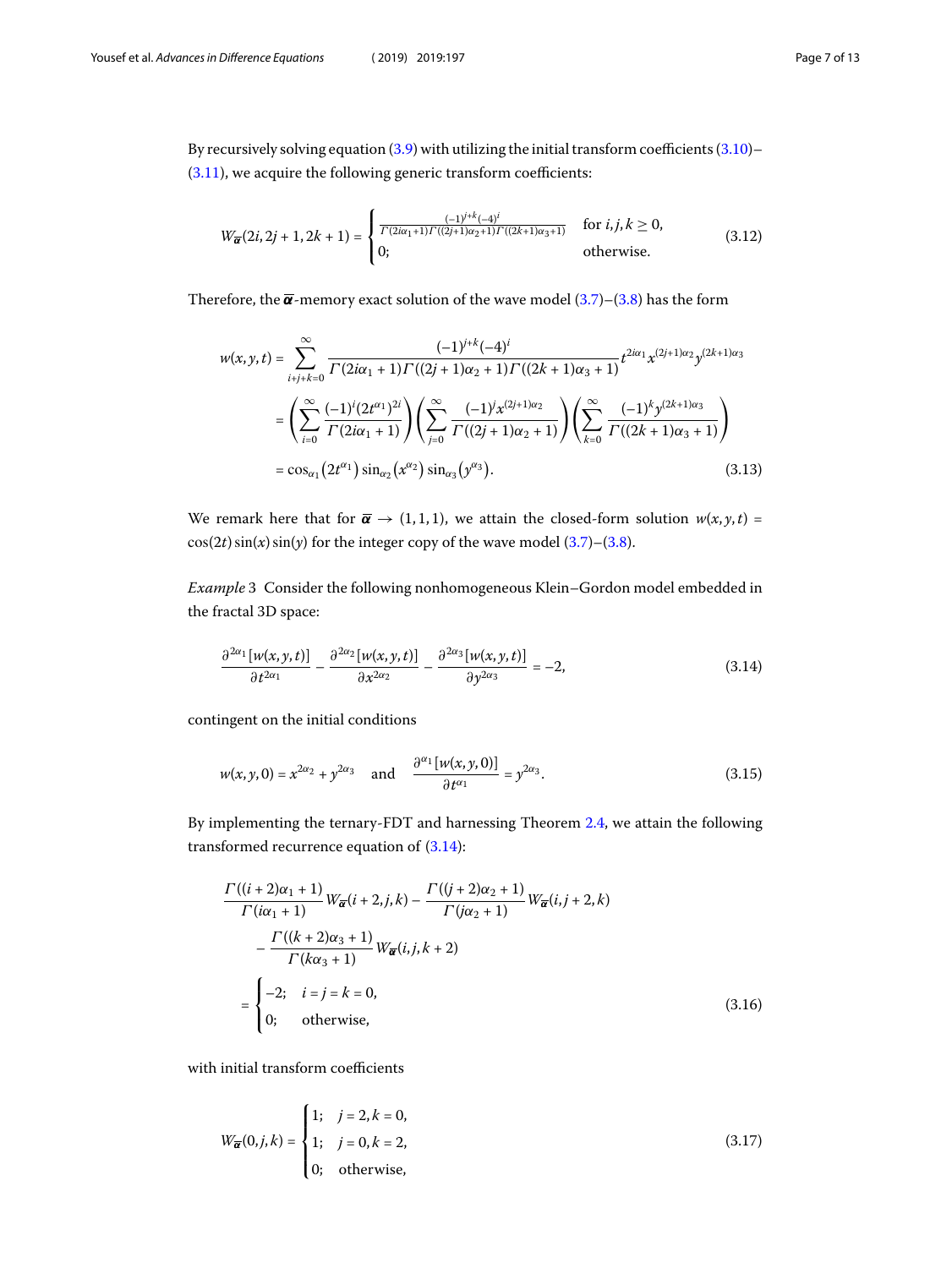By recursively solving equation [\(3.9](#page-5-1)) with utilizing the initial transform coefficients [\(3.10](#page-5-2))– ([3.11\)](#page-5-3), we acquire the following generic transform coefficients:

$$
W_{\overline{\alpha}}(2i,2j+1,2k+1) = \begin{cases} \frac{(-1)^{j+k}(-4)^j}{\Gamma(2i\alpha_1+1)\Gamma((2j+1)\alpha_2+1)\Gamma((2k+1)\alpha_3+1)} & \text{for } i,j,k \ge 0, \\ 0; & \text{otherwise.} \end{cases}
$$
(3.12)

Therefore,the  $\overline{\alpha}$ -memory exact solution of the wave model ([3.7\)](#page-5-0)–[\(3.8](#page-5-4)) has the form

$$
w(x, y, t) = \sum_{i+j+k=0}^{\infty} \frac{(-1)^{j+k}(-4)^i}{\Gamma(2i\alpha_1 + 1)\Gamma((2j+1)\alpha_2 + 1)\Gamma((2k+1)\alpha_3 + 1)} t^{2i\alpha_1} x^{(2j+1)\alpha_2} y^{(2k+1)\alpha_3}
$$
  

$$
= \left(\sum_{i=0}^{\infty} \frac{(-1)^i (2t^{\alpha_1})^{2i}}{\Gamma(2i\alpha_1 + 1)}\right) \left(\sum_{j=0}^{\infty} \frac{(-1)^j x^{(2j+1)\alpha_2}}{\Gamma((2j+1)\alpha_2 + 1)}\right) \left(\sum_{k=0}^{\infty} \frac{(-1)^k y^{(2k+1)\alpha_3}}{\Gamma((2k+1)\alpha_3 + 1)}\right)
$$
  

$$
= \cos_{\alpha_1} (2t^{\alpha_1}) \sin_{\alpha_2} (x^{\alpha_2}) \sin_{\alpha_3} (y^{\alpha_3}). \tag{3.13}
$$

We remark here that for  $\bar{\boldsymbol{\alpha}} \rightarrow (1,1,1)$ , we attain the closed-form solution  $w(x, y, t) =$  $cos(2t)sin(x)sin(y)$  for the integer copy of the wave model [\(3.7](#page-5-0))–[\(3.8](#page-5-4)).

Example 3 Consider the following nonhomogeneous Klein–Gordon model embedded in the fractal 3D space:

<span id="page-6-3"></span><span id="page-6-0"></span>
$$
\frac{\partial^{2\alpha_1}[w(x,y,t)]}{\partial t^{2\alpha_1}} - \frac{\partial^{2\alpha_2}[w(x,y,t)]}{\partial x^{2\alpha_2}} - \frac{\partial^{2\alpha_3}[w(x,y,t)]}{\partial y^{2\alpha_3}} = -2,\tag{3.14}
$$

contingent on the initial conditions

$$
w(x, y, 0) = x^{2\alpha_2} + y^{2\alpha_3} \quad \text{and} \quad \frac{\partial^{\alpha_1} [w(x, y, 0)]}{\partial t^{\alpha_1}} = y^{2\alpha_3}.
$$
 (3.15)

By implementing the ternary-FDT and harnessing Theorem [2.4](#page-3-1), we attain the following transformed recurrence equation of [\(3.14](#page-6-0)):

<span id="page-6-2"></span><span id="page-6-1"></span>
$$
\frac{\Gamma((i+2)\alpha_1+1)}{\Gamma(i\alpha_1+1)} W_{\overline{\alpha}}(i+2,j,k) - \frac{\Gamma((j+2)\alpha_2+1)}{\Gamma(j\alpha_2+1)} W_{\overline{\alpha}}(i,j+2,k)
$$

$$
-\frac{\Gamma((k+2)\alpha_3+1)}{\Gamma(k\alpha_3+1)} W_{\overline{\alpha}}(i,j,k+2)
$$

$$
=\begin{cases}\n-2; & i=j=k=0, \\
0; & \text{otherwise,} \n\end{cases}
$$
(3.16)

with initial transform coefficients

$$
W_{\overline{\alpha}}(0,j,k) = \begin{cases} 1; & j = 2, k = 0, \\ 1; & j = 0, k = 2, \\ 0; & \text{otherwise,} \end{cases}
$$
(3.17)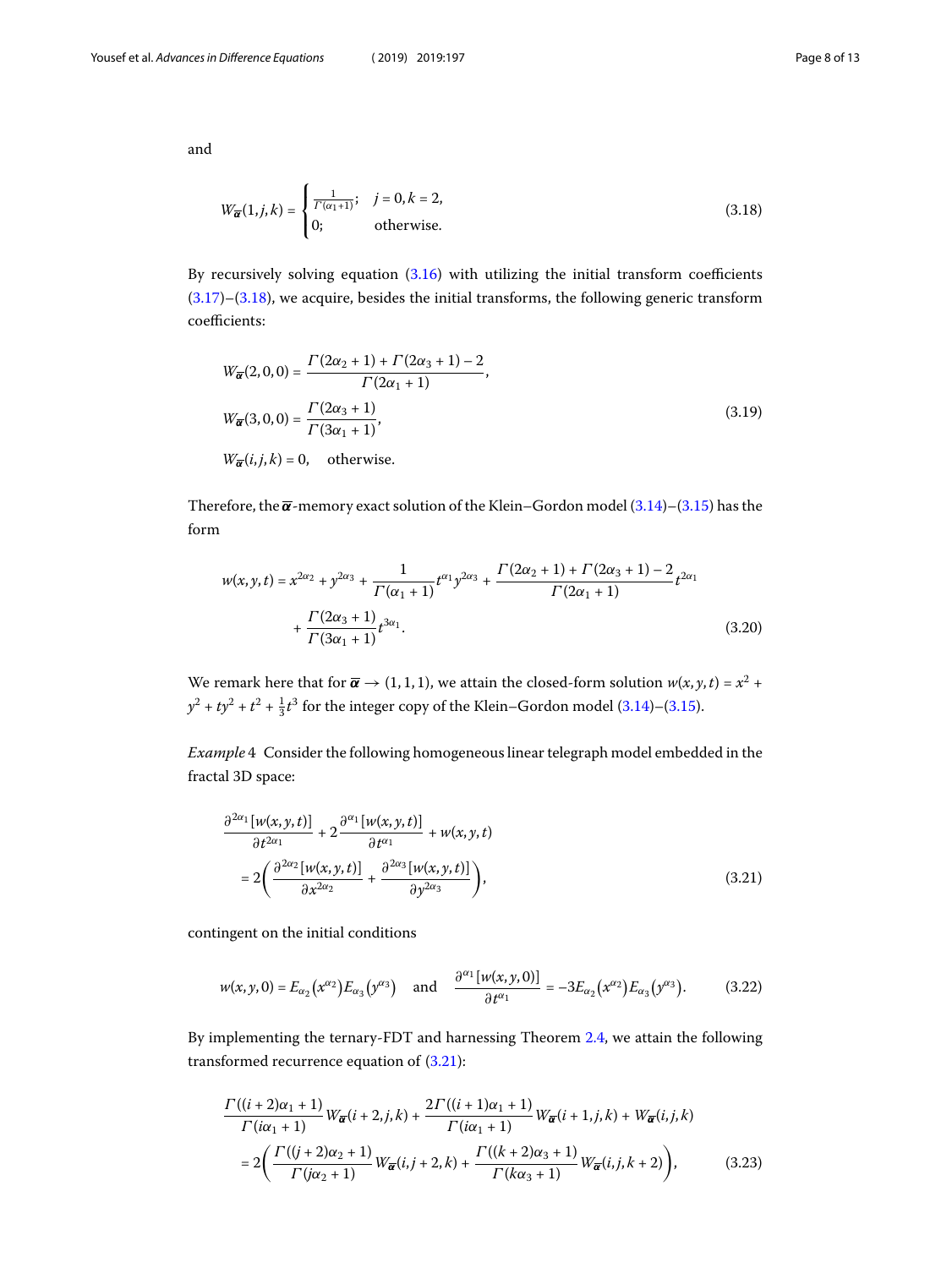and

<span id="page-7-0"></span>
$$
W_{\overline{\alpha}}(1,j,k) = \begin{cases} \frac{1}{\Gamma(\alpha_1+1)}; & j = 0, k = 2, \\ 0; & \text{otherwise.} \end{cases}
$$
(3.18)

Byrecursively solving equation  $(3.16)$  $(3.16)$  with utilizing the initial transform coefficients  $(3.17)$  $(3.17)$ – $(3.18)$  $(3.18)$ , we acquire, besides the initial transforms, the following generic transform coefficients:

$$
W_{\overline{\alpha}}(2,0,0) = \frac{\Gamma(2\alpha_2 + 1) + \Gamma(2\alpha_3 + 1) - 2}{\Gamma(2\alpha_1 + 1)},
$$
  
\n
$$
W_{\overline{\alpha}}(3,0,0) = \frac{\Gamma(2\alpha_3 + 1)}{\Gamma(3\alpha_1 + 1)},
$$
  
\n
$$
W_{\overline{\alpha}}(i,j,k) = 0, \quad \text{otherwise.}
$$
\n(3.19)

Therefore,the  $\overline{\alpha}$ -memory exact solution of the Klein–Gordon model ([3.14\)](#page-6-0)–([3.15\)](#page-6-3) has the form

$$
w(x, y, t) = x^{2\alpha_2} + y^{2\alpha_3} + \frac{1}{\Gamma(\alpha_1 + 1)} t^{\alpha_1} y^{2\alpha_3} + \frac{\Gamma(2\alpha_2 + 1) + \Gamma(2\alpha_3 + 1) - 2}{\Gamma(2\alpha_1 + 1)} t^{2\alpha_1} + \frac{\Gamma(2\alpha_3 + 1)}{\Gamma(3\alpha_1 + 1)} t^{3\alpha_1}.
$$
\n(3.20)

We remark here that for  $\overline{\alpha} \to (1,1,1)$ , we attain the closed-form solution  $w(x, y, t) = x^2 +$  $y^2 + ty^2 + t^2 + \frac{1}{3}t^3$  for the integer copy of the Klein–Gordon model [\(3.14](#page-6-0))–([3.15\)](#page-6-3).

Example 4 Consider the following homogeneous linear telegraph model embedded in the fractal 3D space:

<span id="page-7-3"></span><span id="page-7-1"></span>
$$
\frac{\partial^{2\alpha_1}[w(x,y,t)]}{\partial t^{2\alpha_1}} + 2 \frac{\partial^{\alpha_1}[w(x,y,t)]}{\partial t^{\alpha_1}} + w(x,y,t)
$$

$$
= 2 \left( \frac{\partial^{2\alpha_2}[w(x,y,t)]}{\partial x^{2\alpha_2}} + \frac{\partial^{2\alpha_3}[w(x,y,t)]}{\partial y^{2\alpha_3}} \right),
$$
(3.21)

contingent on the initial conditions

<span id="page-7-2"></span>
$$
w(x, y, 0) = E_{\alpha_2}(x^{\alpha_2}) E_{\alpha_3}(y^{\alpha_3}) \text{ and } \frac{\partial^{\alpha_1}[w(x, y, 0)]}{\partial t^{\alpha_1}} = -3E_{\alpha_2}(x^{\alpha_2}) E_{\alpha_3}(y^{\alpha_3}).
$$
 (3.22)

By implementing the ternary-FDT and harnessing Theorem [2.4](#page-3-1), we attain the following transformed recurrence equation of [\(3.21](#page-7-1)):

$$
\frac{\Gamma((i+2)\alpha_1+1)}{\Gamma(i\alpha_1+1)} W_{\overline{\alpha}}(i+2,j,k) + \frac{2\Gamma((i+1)\alpha_1+1)}{\Gamma(i\alpha_1+1)} W_{\overline{\alpha}}(i+1,j,k) + W_{\overline{\alpha}}(i,j,k)
$$

$$
= 2\left(\frac{\Gamma((j+2)\alpha_2+1)}{\Gamma(j\alpha_2+1)} W_{\overline{\alpha}}(i,j+2,k) + \frac{\Gamma((k+2)\alpha_3+1)}{\Gamma(k\alpha_3+1)} W_{\overline{\alpha}}(i,j,k+2)\right),
$$
(3.23)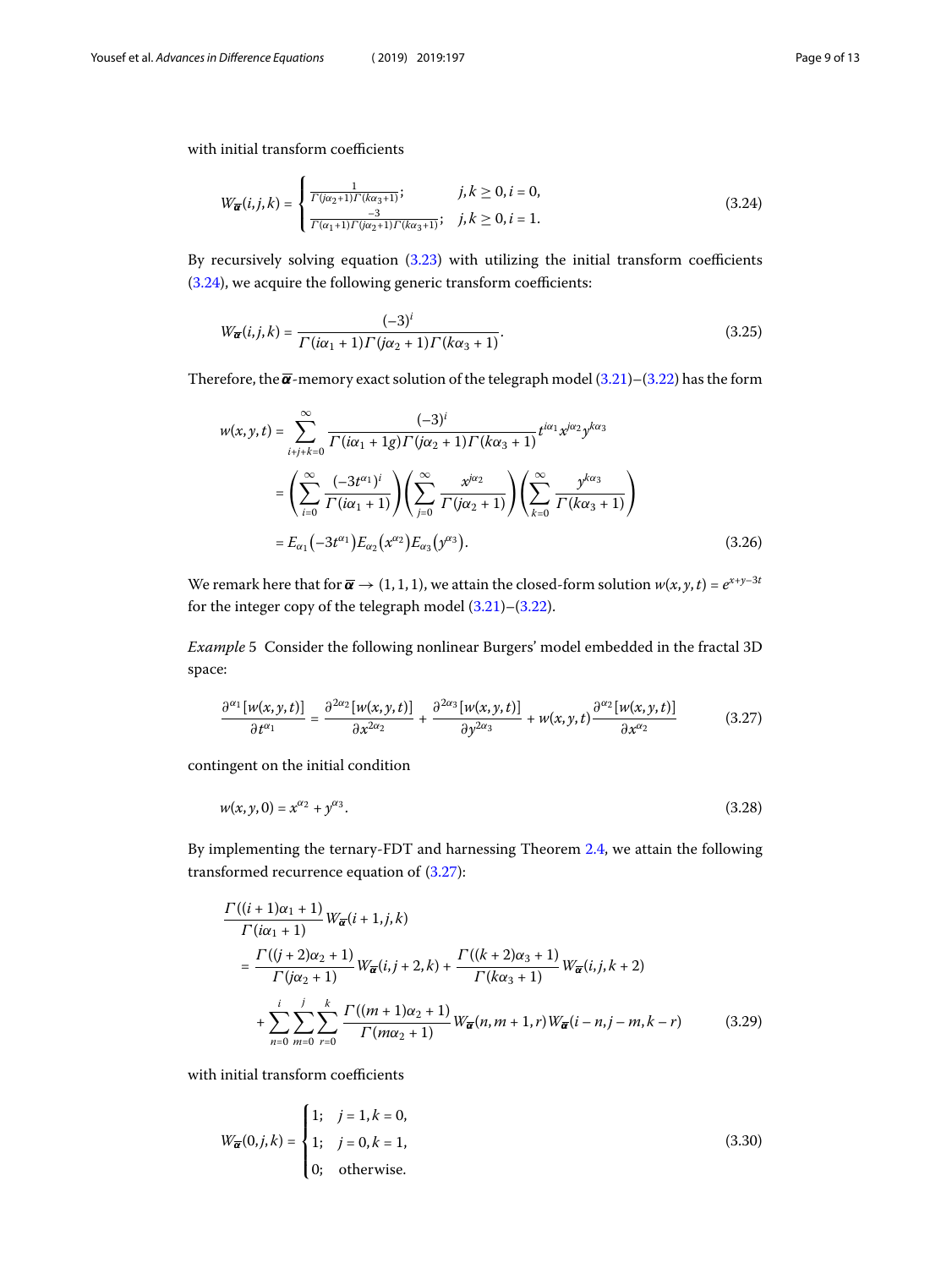with initial transform coefficients

<span id="page-8-0"></span>
$$
W_{\overline{\alpha}}(i,j,k) = \begin{cases} \frac{1}{\Gamma(j\alpha_2+1)\Gamma(k\alpha_3+1)}; & j,k \ge 0, i = 0, \\ \frac{-3}{\Gamma(\alpha_1+1)\Gamma(j\alpha_2+1)\Gamma(k\alpha_3+1)}; & j,k \ge 0, i = 1. \end{cases}
$$
(3.24)

By recursively solving equation([3.23\)](#page-7-2) with utilizing the initial transform coefficients ([3.24\)](#page-8-0), we acquire the following generic transform coefficients:

$$
W_{\overline{\alpha}}(i,j,k) = \frac{(-3)^i}{\Gamma(i\alpha_1 + 1)\Gamma(j\alpha_2 + 1)\Gamma(k\alpha_3 + 1)}.
$$
\n(3.25)

Therefore,the  $\bar{\alpha}$ -memory exact solution of the telegraph model ([3.21\)](#page-7-1)–[\(3.22](#page-7-3)) has the form

$$
w(x, y, t) = \sum_{i+j+k=0}^{\infty} \frac{(-3)^i}{\Gamma(i\alpha_1 + 1g)\Gamma(j\alpha_2 + 1)\Gamma(k\alpha_3 + 1)} t^{i\alpha_1} x^{j\alpha_2} y^{k\alpha_3}
$$
  
= 
$$
\left(\sum_{i=0}^{\infty} \frac{(-3t^{\alpha_1})^i}{\Gamma(i\alpha_1 + 1)}\right) \left(\sum_{j=0}^{\infty} \frac{x^{j\alpha_2}}{\Gamma(j\alpha_2 + 1)}\right) \left(\sum_{k=0}^{\infty} \frac{y^{k\alpha_3}}{\Gamma(k\alpha_3 + 1)}\right)
$$
  
=  $E_{\alpha_1}(-3t^{\alpha_1}) E_{\alpha_2} (x^{\alpha_2}) E_{\alpha_3} (y^{\alpha_3}).$  (3.26)

We remark here that for  $\overline{\alpha} \to (1,1,1)$ , we attain the closed-form solution  $w(x,y,t) = e^{x+y-3t}$ for the integer copy of the telegraph model [\(3.21](#page-7-1))–([3.22](#page-7-3)).

Example 5 Consider the following nonlinear Burgers' model embedded in the fractal 3D space:

<span id="page-8-4"></span><span id="page-8-1"></span>
$$
\frac{\partial^{\alpha_1}[w(x,y,t)]}{\partial t^{\alpha_1}} = \frac{\partial^{2\alpha_2}[w(x,y,t)]}{\partial x^{2\alpha_2}} + \frac{\partial^{2\alpha_3}[w(x,y,t)]}{\partial y^{2\alpha_3}} + w(x,y,t) \frac{\partial^{\alpha_2}[w(x,y,t)]}{\partial x^{\alpha_2}} \tag{3.27}
$$

contingent on the initial condition

$$
w(x, y, 0) = x^{\alpha_2} + y^{\alpha_3}.
$$
\n(3.28)

By implementing the ternary-FDT and harnessing Theorem [2.4](#page-3-1), we attain the following transformed recurrence equation of [\(3.27](#page-8-1)):

<span id="page-8-3"></span><span id="page-8-2"></span>
$$
\frac{\Gamma((i+1)\alpha_1+1)}{\Gamma(i\alpha_1+1)} W_{\overline{\alpha}}(i+1,j,k)
$$
\n
$$
= \frac{\Gamma((j+2)\alpha_2+1)}{\Gamma(j\alpha_2+1)} W_{\overline{\alpha}}(i,j+2,k) + \frac{\Gamma((k+2)\alpha_3+1)}{\Gamma(k\alpha_3+1)} W_{\overline{\alpha}}(i,j,k+2)
$$
\n
$$
+ \sum_{n=0}^{i} \sum_{m=0}^{j} \sum_{r=0}^{k} \frac{\Gamma((m+1)\alpha_2+1)}{\Gamma(m\alpha_2+1)} W_{\overline{\alpha}}(n,m+1,r) W_{\overline{\alpha}}(i-n,j-m,k-r) \qquad (3.29)
$$

with initial transform coefficients

$$
W_{\overline{\alpha}}(0,j,k) = \begin{cases} 1; & j = 1, k = 0, \\ 1; & j = 0, k = 1, \\ 0; & \text{otherwise.} \end{cases}
$$
(3.30)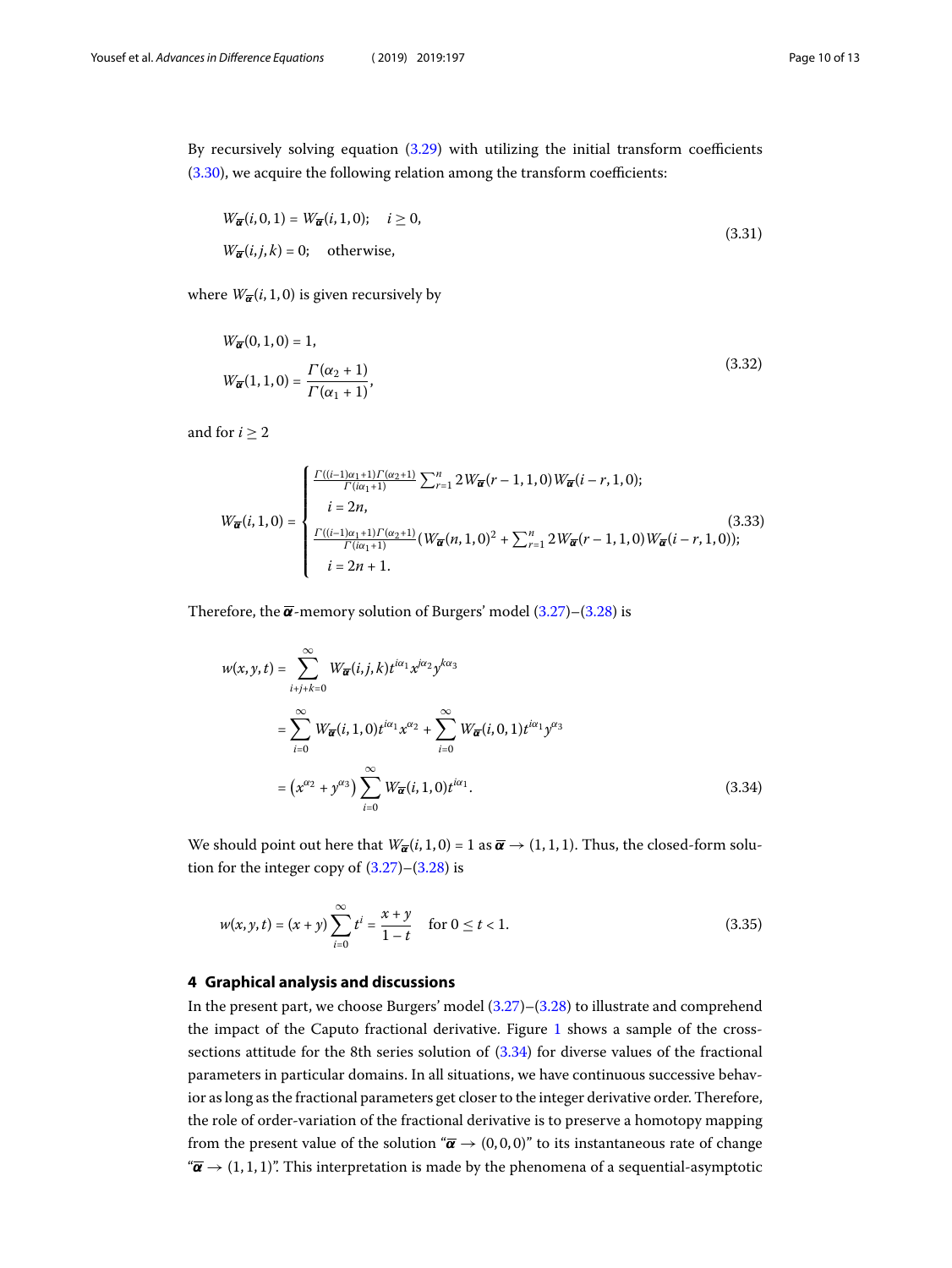By recursively solving equation([3.29\)](#page-8-2) with utilizing the initial transform coefficients ([3.30\)](#page-8-3), we acquire the following relation among the transform coefficients:

$$
W_{\overline{\alpha}}(i,0,1) = W_{\overline{\alpha}}(i,1,0); \quad i \ge 0,
$$
  
\n
$$
W_{\overline{\alpha}}(i,j,k) = 0; \quad \text{otherwise},
$$
\n(3.31)

where  $W_{\overline{\alpha}}(i, 1, 0)$  is given recursively by

$$
W_{\overline{\alpha}}(0,1,0) = 1,
$$
  
\n
$$
W_{\overline{\alpha}}(1,1,0) = \frac{\Gamma(\alpha_2 + 1)}{\Gamma(\alpha_1 + 1)},
$$
\n(3.32)

and for  $i \geq 2$ 

$$
W_{\overline{\alpha}}(i,1,0) = \begin{cases} \frac{\Gamma((i-1)\alpha_1+1)\Gamma(\alpha_2+1)}{\Gamma(i\alpha_1+1)} \sum_{r=1}^n 2W_{\overline{\alpha}}(r-1,1,0) W_{\overline{\alpha}}(i-r,1,0);\\ i = 2n,\\ \frac{\Gamma((i-1)\alpha_1+1)\Gamma(\alpha_2+1)}{\Gamma(i\alpha_1+1)} (W_{\overline{\alpha}}(n,1,0)^2 + \sum_{r=1}^n 2W_{\overline{\alpha}}(r-1,1,0) W_{\overline{\alpha}}(i-r,1,0));\\ i = 2n+1. \end{cases}
$$
(3.33)

Therefore, the  $\bar{\alpha}$ -memory solution of Burgers' model [\(3.27](#page-8-1))–[\(3.28](#page-8-4)) is

<span id="page-9-1"></span>
$$
w(x, y, t) = \sum_{i+j+k=0}^{\infty} W_{\overline{\alpha}}(i, j, k) t^{i\alpha_1} x^{j\alpha_2} y^{k\alpha_3}
$$
  

$$
= \sum_{i=0}^{\infty} W_{\overline{\alpha}}(i, 1, 0) t^{i\alpha_1} x^{\alpha_2} + \sum_{i=0}^{\infty} W_{\overline{\alpha}}(i, 0, 1) t^{i\alpha_1} y^{\alpha_3}
$$
  

$$
= (x^{\alpha_2} + y^{\alpha_3}) \sum_{i=0}^{\infty} W_{\overline{\alpha}}(i, 1, 0) t^{i\alpha_1}.
$$
 (3.34)

<span id="page-9-0"></span>We should point out here that  $W_{\overline{\alpha}}(i, 1, 0) = 1$  as  $\overline{\alpha} \rightarrow (1, 1, 1)$ . Thus, the closed-form solution for the integer copy of  $(3.27)$ – $(3.28)$  $(3.28)$  is

$$
w(x, y, t) = (x + y) \sum_{i=0}^{\infty} t^{i} = \frac{x + y}{1 - t} \quad \text{for } 0 \le t < 1.
$$
 (3.35)

## **4 Graphical analysis and discussions**

In the present part, we choose Burgers' model [\(3.27](#page-8-1))–([3.28\)](#page-8-4) to illustrate and comprehend the impact of the Caputo fractional derivative. Figure [1](#page-10-1) shows a sample of the crosssections attitude for the 8th series solution of([3.34\)](#page-9-1) for diverse values of the fractional parameters in particular domains. In all situations, we have continuous successive behavior as long as the fractional parameters get closer to the integer derivative order. Therefore, the role of order-variation of the fractional derivative is to preserve a homotopy mapping from the present value of the solution " $\vec{\alpha} \rightarrow (0,0,0)$ " to its instantaneous rate of change " $\overline{\alpha} \rightarrow (1,1,1)$ ". This interpretation is made by the phenomena of a sequential-asymptotic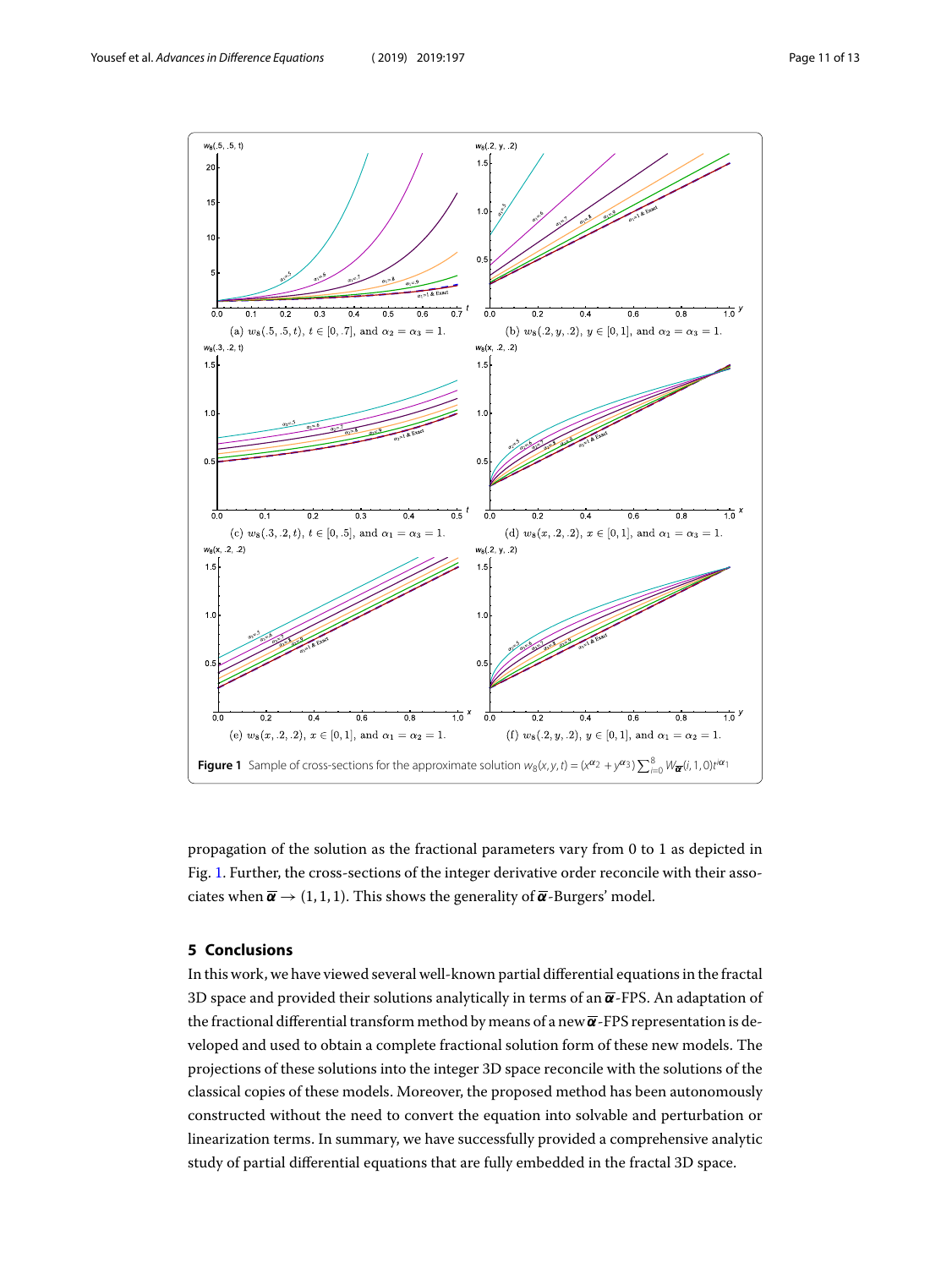

<span id="page-10-1"></span><span id="page-10-0"></span>propagation of the solution as the fractional parameters vary from 0 to 1 as depicted in Fig. [1](#page-10-1). Further, the cross-sections of the integer derivative order reconcile with their associates when  $\overline{\alpha} \rightarrow (1, 1, 1)$ . This shows the generality of  $\overline{\alpha}$ -Burgers' model.

## **5 Conclusions**

In this work, we have viewed several well-known partial differential equations in the fractal 3D space and provided their solutions analytically in terms of an  $\overline{\alpha}$ -FPS. An adaptation of the fractional differential transform method by means of a new  $\overline{\alpha}$ -FPS representation is developed and used to obtain a complete fractional solution form of these new models. The projections of these solutions into the integer 3D space reconcile with the solutions of the classical copies of these models. Moreover, the proposed method has been autonomously constructed without the need to convert the equation into solvable and perturbation or linearization terms. In summary, we have successfully provided a comprehensive analytic study of partial differential equations that are fully embedded in the fractal 3D space.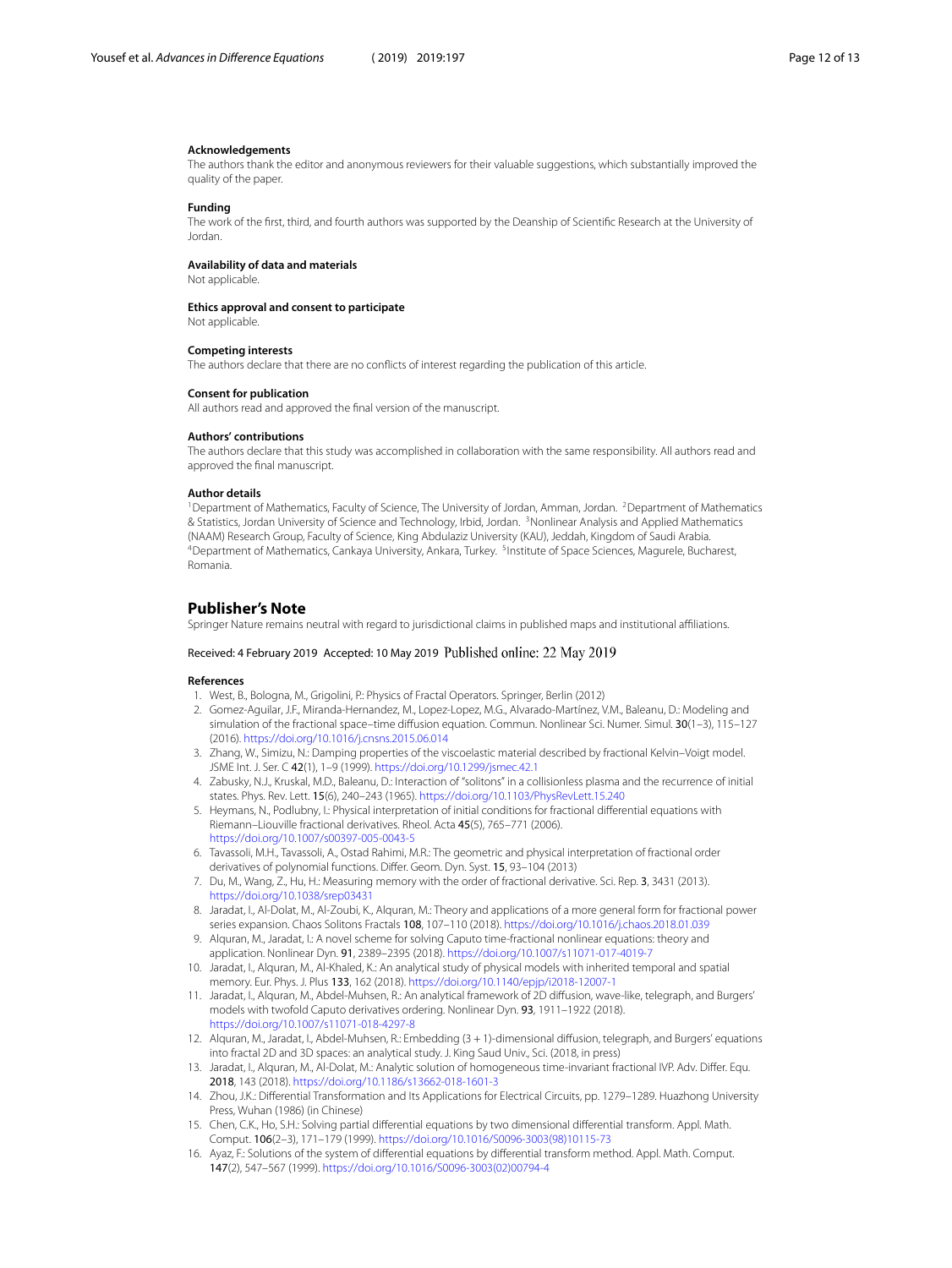#### **Acknowledgements**

The authors thank the editor and anonymous reviewers for their valuable suggestions, which substantially improved the quality of the paper.

#### **Funding**

The work of the first, third, and fourth authors was supported by the Deanship of Scientific Research at the University of Jordan.

#### **Availability of data and materials**

Not applicable.

#### **Ethics approval and consent to participate**

Not applicable.

#### <span id="page-11-1"></span><span id="page-11-0"></span>**Competing interests**

<span id="page-11-2"></span>The authors declare that there are no conflicts of interest regarding the publication of this article.

#### <span id="page-11-4"></span><span id="page-11-3"></span>**Consent for publication**

All authors read and approved the final version of the manuscript.

#### **Authors' contributions**

The authors declare that this study was accomplished in collaboration with the same responsibility. All authors read and approved the final manuscript.

#### **Author details**

<span id="page-11-5"></span><sup>1</sup>Department of Mathematics, Faculty of Science, The University of Jordan, Amman, Jordan. <sup>2</sup>Department of Mathematics & Statistics, Jordan University of Science and Technology, Irbid, Jordan. <sup>3</sup>Nonlinear Analysis and Applied Mathematics (NAAM) Research Group, Faculty of Science, King Abdulaziz University (KAU), Jeddah, Kingdom of Saudi Arabia. <sup>4</sup>Department of Mathematics, Cankaya University, Ankara, Turkey. <sup>5</sup>Institute of Space Sciences, Magurele, Bucharest, Romania.

#### <span id="page-11-7"></span><span id="page-11-6"></span>**Publisher's Note**

<span id="page-11-8"></span>Springer Nature remains neutral with regard to jurisdictional claims in published maps and institutional affiliations.

## <span id="page-11-9"></span>Received: 4 February 2019 Accepted: 10 May 2019 Published online: 22 May 2019

#### <span id="page-11-10"></span>**References**

- 1. West, B., Bologna, M., Grigolini, P.: Physics of Fractal Operators. Springer, Berlin (2012)
- 2. Gomez-Aguilar, J.F., Miranda-Hernandez, M., Lopez-Lopez, M.G., Alvarado-Martínez, V.M., Baleanu, D.: Modeling and simulation of the fractional space–time diffusion equation. Commun. Nonlinear Sci. Numer. Simul. 30(1–3), 115–127 (2016). <https://doi.org/10.1016/j.cnsns.2015.06.014>
- <span id="page-11-11"></span>3. Zhang, W., Simizu, N.: Damping properties of the viscoelastic material described by fractional Kelvin–Voigt model. JSME Int. J. Ser. C 42(1), 1–9 (1999). <https://doi.org/10.1299/jsmec.42.1>
- 4. Zabusky, N.J., Kruskal, M.D., Baleanu, D.: Interaction of "solitons" in a collisionless plasma and the recurrence of initial states. Phys. Rev. Lett. 15(6), 240–243 (1965). <https://doi.org/10.1103/PhysRevLett.15.240>
- 5. Heymans, N., Podlubny, I.: Physical interpretation of initial conditions for fractional differential equations with Riemann–Liouville fractional derivatives. Rheol. Acta 45(5), 765–771 (2006). <https://doi.org/10.1007/s00397-005-0043-5>
- 6. Tavassoli, M.H., Tavassoli, A., Ostad Rahimi, M.R.: The geometric and physical interpretation of fractional order derivatives of polynomial functions. Differ. Geom. Dyn. Syst. 15, 93–104 (2013)
- 7. Du, M., Wang, Z., Hu, H.: Measuring memory with the order of fractional derivative. Sci. Rep. 3, 3431 (2013). <https://doi.org/10.1038/srep03431>
- 8. Jaradat, I., Al-Dolat, M., Al-Zoubi, K., Alquran, M.: Theory and applications of a more general form for fractional power series expansion. Chaos Solitons Fractals 108, 107–110 (2018). <https://doi.org/10.1016/j.chaos.2018.01.039>
- <span id="page-11-12"></span>9. Alquran, M., Jaradat, I.: A novel scheme for solving Caputo time-fractional nonlinear equations: theory and application. Nonlinear Dyn. 91, 2389–2395 (2018). <https://doi.org/10.1007/s11071-017-4019-7>
- <span id="page-11-14"></span><span id="page-11-13"></span>10. Jaradat, I., Alquran, M., Al-Khaled, K.: An analytical study of physical models with inherited temporal and spatial memory. Eur. Phys. J. Plus 133, 162 (2018). <https://doi.org/10.1140/epjp/i2018-12007-1>
- <span id="page-11-15"></span>11. Jaradat, I., Alquran, M., Abdel-Muhsen, R.: An analytical framework of 2D diffusion, wave-like, telegraph, and Burgers' models with twofold Caputo derivatives ordering. Nonlinear Dyn. 93, 1911–1922 (2018). <https://doi.org/10.1007/s11071-018-4297-8>
- 12. Alquran, M., Jaradat, I., Abdel-Muhsen, R.: Embedding (3 + 1)-dimensional diffusion, telegraph, and Burgers' equations into fractal 2D and 3D spaces: an analytical study. J. King Saud Univ., Sci. (2018, in press)
- 13. Jaradat, I., Alquran, M., Al-Dolat, M.: Analytic solution of homogeneous time-invariant fractional IVP. Adv. Differ. Equ. 2018, 143 (2018). <https://doi.org/10.1186/s13662-018-1601-3>
- 14. Zhou, J.K.: Differential Transformation and Its Applications for Electrical Circuits, pp. 1279–1289. Huazhong University Press, Wuhan (1986) (in Chinese)
- 15. Chen, C.K., Ho, S.H.: Solving partial differential equations by two dimensional differential transform. Appl. Math. Comput. 106(2–3), 171–179 (1999). [https://doi.org/10.1016/S0096-3003\(98\)10115-73](https://doi.org/10.1016/S0096-3003(98)10115-73)
- 16. Ayaz, F.: Solutions of the system of differential equations by differential transform method. Appl. Math. Comput. 147(2), 547–567 (1999). [https://doi.org/10.1016/S0096-3003\(02\)00794-4](https://doi.org/10.1016/S0096-3003(02)00794-4)